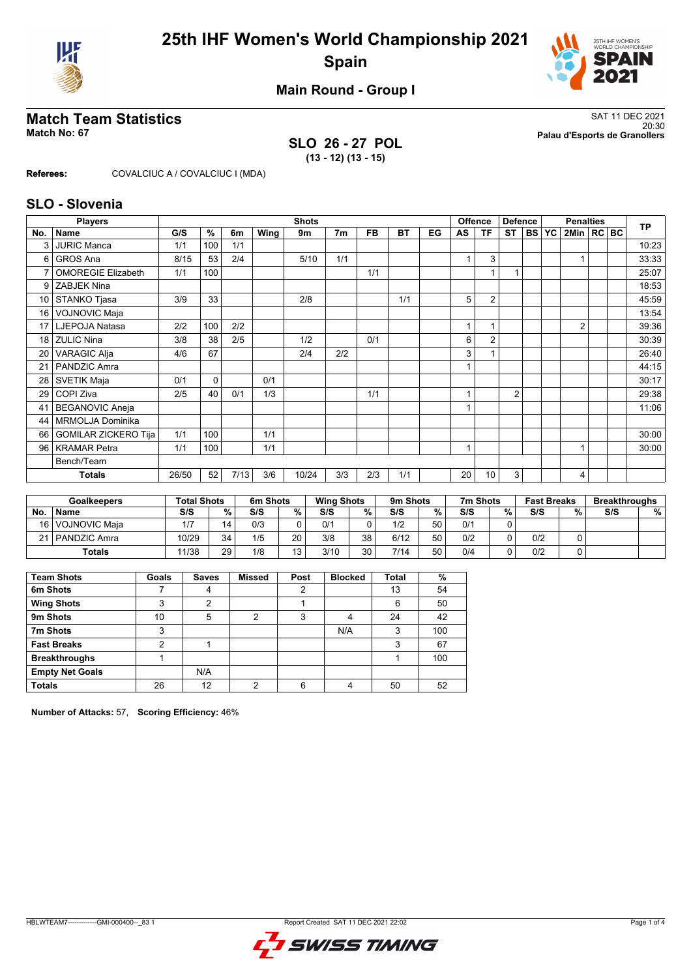



### **Main Round - Group I**

### **SLO 26 - 27 POL (13 - 12) (13 - 15)**

**Match Team Statistics** SAT 11 DEC 2021 20:30 **Match No: 67 Palau d'Esports de Granollers**

**Referees:** COVALCIUC A / COVALCIUC I (MDA)

### **SLO - Slovenia**

|                 | <b>Players</b>              | <b>Shots</b> |             |      |      |       |                |     |           |    |                | <b>Offence</b><br><b>Defence</b> |                |           |           | <b>TP</b>      |  |       |
|-----------------|-----------------------------|--------------|-------------|------|------|-------|----------------|-----|-----------|----|----------------|----------------------------------|----------------|-----------|-----------|----------------|--|-------|
| No.             | <b>Name</b>                 | G/S          | $\%$        | 6m   | Wing | 9m    | 7 <sub>m</sub> | FB. | <b>BT</b> | EG | AS             | ΤF                               | <b>ST</b>      | <b>BS</b> | <b>YC</b> | 2Min   RC BC   |  |       |
| 3               | <b>JURIC Manca</b>          | 1/1          | 100         | 1/1  |      |       |                |     |           |    |                |                                  |                |           |           |                |  | 10:23 |
| 6               | <b>GROS Ana</b>             | 8/15         | 53          | 2/4  |      | 5/10  | 1/1            |     |           |    |                | 3                                |                |           |           |                |  | 33:33 |
|                 | <b>OMOREGIE Elizabeth</b>   | 1/1          | 100         |      |      |       |                | 1/1 |           |    |                |                                  | 1              |           |           |                |  | 25:07 |
| 9               | <b>ZABJEK Nina</b>          |              |             |      |      |       |                |     |           |    |                |                                  |                |           |           |                |  | 18:53 |
| 10              | STANKO Tjasa                | 3/9          | 33          |      |      | 2/8   |                |     | 1/1       |    | 5              | $\overline{2}$                   |                |           |           |                |  | 45:59 |
| 16              | <b>VOJNOVIC Maja</b>        |              |             |      |      |       |                |     |           |    |                |                                  |                |           |           |                |  | 13:54 |
| 17 <sup>1</sup> | LJEPOJA Natasa              | 2/2          | 100         | 2/2  |      |       |                |     |           |    |                |                                  |                |           |           | $\overline{2}$ |  | 39:36 |
| 18              | <b>ZULIC Nina</b>           | 3/8          | 38          | 2/5  |      | 1/2   |                | 0/1 |           |    | 6              | $\overline{2}$                   |                |           |           |                |  | 30:39 |
| 20              | <b>VARAGIC Alja</b>         | 4/6          | 67          |      |      | 2/4   | 2/2            |     |           |    | 3              |                                  |                |           |           |                |  | 26:40 |
| 21              | PANDZIC Amra                |              |             |      |      |       |                |     |           |    |                |                                  |                |           |           |                |  | 44:15 |
| 28              | <b>SVETIK Maja</b>          | 0/1          | $\mathbf 0$ |      | 0/1  |       |                |     |           |    |                |                                  |                |           |           |                |  | 30:17 |
| 29              | COPI Ziva                   | 2/5          | 40          | 0/1  | 1/3  |       |                | 1/1 |           |    | 4              |                                  | $\overline{2}$ |           |           |                |  | 29:38 |
| 41              | <b>BEGANOVIC Aneja</b>      |              |             |      |      |       |                |     |           |    | 1              |                                  |                |           |           |                |  | 11:06 |
| 44              | <b>MRMOLJA Dominika</b>     |              |             |      |      |       |                |     |           |    |                |                                  |                |           |           |                |  |       |
| 66              | <b>GOMILAR ZICKERO Tija</b> | 1/1          | 100         |      | 1/1  |       |                |     |           |    |                |                                  |                |           |           |                |  | 30:00 |
| 96              | <b>KRAMAR Petra</b>         | 1/1          | 100         |      | 1/1  |       |                |     |           |    | $\overline{ }$ |                                  |                |           |           |                |  | 30:00 |
|                 | Bench/Team                  |              |             |      |      |       |                |     |           |    |                |                                  |                |           |           |                |  |       |
|                 | <b>Totals</b>               | 26/50        | 52          | 7/13 | 3/6  | 10/24 | 3/3            | 2/3 | 1/1       |    | 20             | 10                               | 3              |           |           | 4              |  |       |

|      | <b>Goalkeepers</b> |       | <b>Total Shots</b> | 6m Shots |    | <b>Wing Shots</b> |                 | 9m Shots |    | 7m Shots |   | <b>Fast Breaks</b> |   | <b>Breakthroughs</b> |   |
|------|--------------------|-------|--------------------|----------|----|-------------------|-----------------|----------|----|----------|---|--------------------|---|----------------------|---|
| No.  | <b>Name</b>        | S/S   | %                  | S/S      | %  | S/S               | %               | S/S      | %  | S/S      | % | S/S                | % | S/S                  | % |
| 16 l | l VOJNOVIC Maia    | 1/7   | 14                 | 0/3      |    | 0/1               |                 | 1/2      | 50 | 0/1      |   |                    |   |                      |   |
| 21   | PANDZIC Amra       | 10/29 | 34                 | 1/5      | 20 | 3/8               | 38 <sub>1</sub> | 6/12     | 50 | 0/2      |   | 0/2                |   |                      |   |
|      | <b>Totals</b>      | 11/38 | 29                 | 1/8      | 13 | 3/10              | 30              | 7/14     | 50 | 0/4      |   | 0/2                |   |                      |   |

| <b>Team Shots</b>      | Goals | <b>Saves</b> | <b>Missed</b> | Post | <b>Blocked</b> | <b>Total</b> | %   |
|------------------------|-------|--------------|---------------|------|----------------|--------------|-----|
| 6m Shots               |       | 4            |               | 2    |                | 13           | 54  |
| <b>Wing Shots</b>      | 3     | 2            |               |      |                | 6            | 50  |
| 9m Shots               | 10    | 5            | 2             | 3    | 4              | 24           | 42  |
| 7m Shots               | 3     |              |               |      | N/A            | 3            | 100 |
| <b>Fast Breaks</b>     | ົ     |              |               |      |                | 3            | 67  |
| <b>Breakthroughs</b>   |       |              |               |      |                |              | 100 |
| <b>Empty Net Goals</b> |       | N/A          |               |      |                |              |     |
| <b>Totals</b>          | 26    | 12           | ◠             | հ    | 4              | 50           | 52  |

**Number of Attacks:** 57, **Scoring Efficiency:** 46%

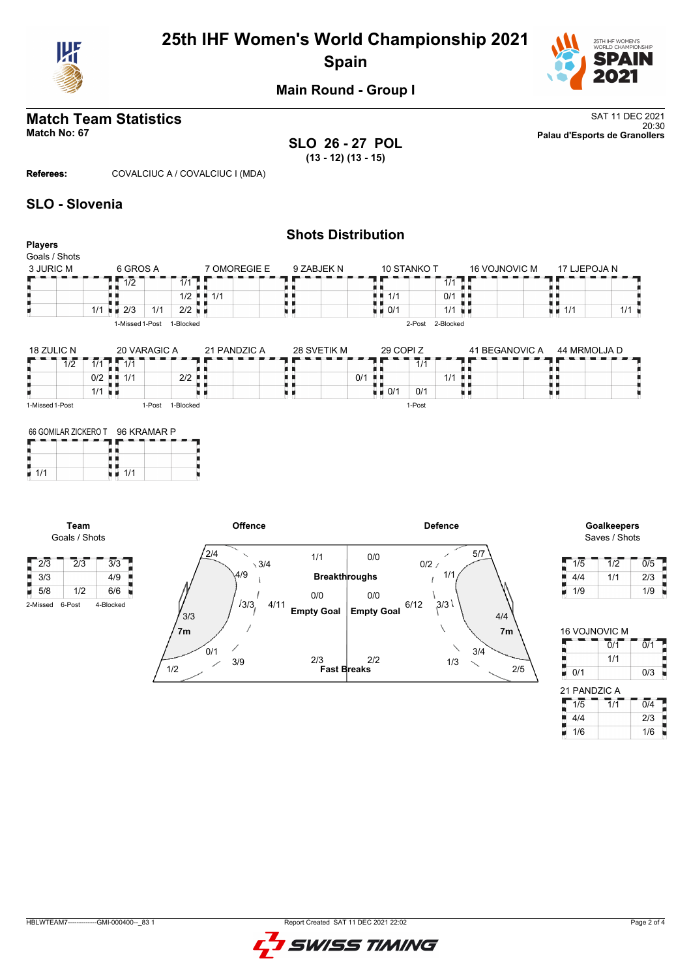

# **25th IHF Women's World Championship 2021 Spain**



**Main Round - Group I**

# **Match Team Statistics** SAT 11 DEC 2021

20:30 **Match No: 67 Palau d'Esports de Granollers SLO 26 - 27 POL (13 - 12) (13 - 15)**

**Referees:** COVALCIUC A / COVALCIUC I (MDA)

### **SLO - Slovenia**

|                          |                            |              |                            |              | <b>Shots Distribution</b> |                         |                     |                      |                |                    |              |     |
|--------------------------|----------------------------|--------------|----------------------------|--------------|---------------------------|-------------------------|---------------------|----------------------|----------------|--------------------|--------------|-----|
| Players<br>Goals / Shots |                            |              |                            |              |                           |                         |                     |                      |                |                    |              |     |
| 3 JURIC M                | 6 GROS A                   |              |                            | 7 OMOREGIE E | 9 ZABJEK N                | 10 STANKO T             |                     |                      | 16 VOJNOVIC M  |                    | 17 LJEPOJA N |     |
|                          | 1/2                        |              | $1/1$ .                    |              |                           |                         |                     | $1/1$ 0 0            |                |                    |              |     |
|                          |                            |              | $1/2$ $\blacksquare$ $1/1$ |              |                           | 1/1<br>. .              | 0/1                 | л                    |                |                    |              |     |
|                          | $1/1$ $\blacksquare$ $2/3$ | 1/1          | $2/2$ $\blacksquare$       |              |                           | $\bullet$ $\bullet$ 0/1 |                     | $1/1$ $\blacksquare$ |                | $\blacksquare$ 1/1 |              | 1/1 |
|                          | 1-Missed 1-Post            |              | 1-Blocked                  |              |                           |                         | 2-Blocked<br>2-Post |                      |                |                    |              |     |
|                          |                            |              |                            |              |                           |                         |                     |                      |                |                    |              |     |
| 18 ZULIC N               |                            | 20 VARAGIC A |                            | 21 PANDZIC A | 28 SVETIK M               | 29 COPI Z               |                     |                      | 41 BEGANOVIC A |                    | 44 MRMOLJA D |     |
| 1/2                      | $1/1$ $1/1$                |              |                            |              |                           |                         | 1/1                 |                      |                |                    |              |     |

| 19 LULIU 11     | LU VAIVAUIU A    | <b>LIINDLIVA</b> | 2001111111 | LJ UUI I L           | <b>TI DLUNIU VIU A</b> | ש השטשעוויוויוד |
|-----------------|------------------|------------------|------------|----------------------|------------------------|-----------------|
| 1/2             | 1/1<br>1/1       |                  |            | 1/1                  |                        | .               |
|                 | 1/1<br>0/2       | $2/2$ .          |            | 0/1                  | 1/1 ∎∎                 |                 |
|                 | 1/1              |                  |            | 0/1<br>$\approx 0/1$ |                        |                 |
| 1-Missed 1-Post | 1-Post 1-Blocked |                  |            | 1-Post               |                        |                 |

| 66 GOMILAR ZICKERO T 96 KRAMAR P |     |  |  |  |  |  |  |  |  |
|----------------------------------|-----|--|--|--|--|--|--|--|--|
|                                  |     |  |  |  |  |  |  |  |  |
|                                  |     |  |  |  |  |  |  |  |  |
| 1/1                              | 1/1 |  |  |  |  |  |  |  |  |

**Team** Goals / Shots



| <b>Goalkeepers</b> |
|--------------------|
| Saves / Shots      |

| 1/5 | 1/2 | 0/5 |
|-----|-----|-----|
| 4/4 | 1/1 | 2/3 |
| 1/9 |     | 1/9 |

| <b>16 VOJNOVIC M</b> |                             |                  |
|----------------------|-----------------------------|------------------|
|                      | 0/1                         | $\overline{0}/1$ |
|                      | 1/1                         |                  |
| 0/1                  |                             | 0/3              |
|                      |                             |                  |
| 21 PANDZIC A         |                             |                  |
| 1/5                  | $\overline{1}/\overline{1}$ | $\overline{0/4}$ |
| 4/4                  |                             | 2/3              |

HBLWTEAM7-------------GMI-000400--\_83 1 Report Created SAT 11 DEC 2021 22:02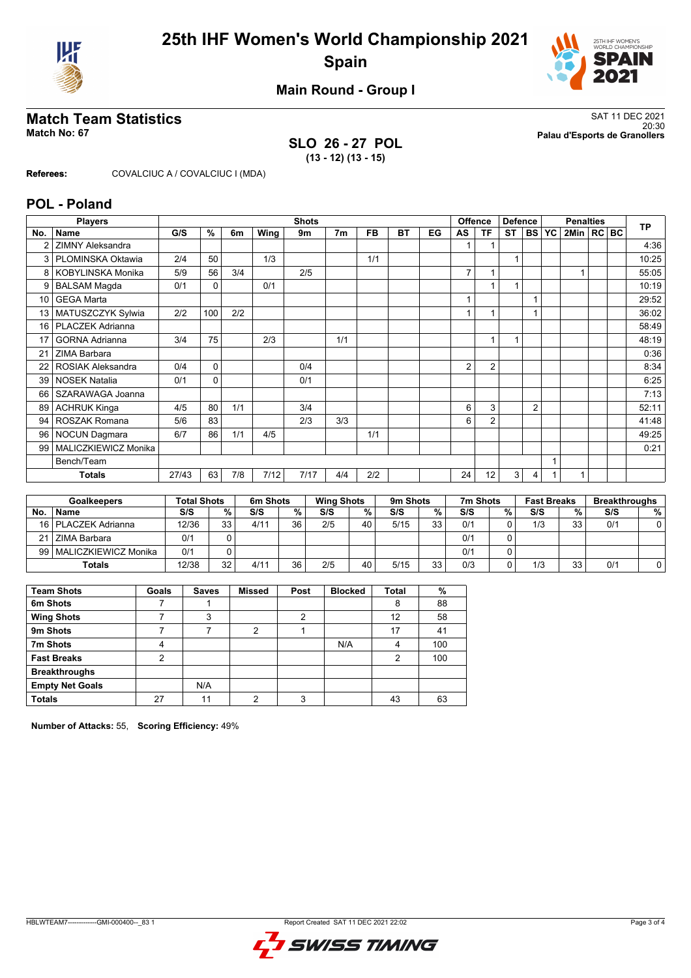



### **Main Round - Group I**

### **SLO 26 - 27 POL (13 - 12) (13 - 15)**

**Match Team Statistics** SAT 11 DEC 2021 20:30 **Match No: 67 Palau d'Esports de Granollers**

**Referees:** COVALCIUC A / COVALCIUC I (MDA)

### **POL - Poland**

|                 | <b>Players</b>           |       |          |     |      | <b>Shots</b> |                |           |           |    |                | <b>Offence</b> | <b>Defence</b> |                |              | <b>TP</b>      |  |       |
|-----------------|--------------------------|-------|----------|-----|------|--------------|----------------|-----------|-----------|----|----------------|----------------|----------------|----------------|--------------|----------------|--|-------|
| No.             | <b>Name</b>              | G/S   | %        | 6m  | Wing | 9m           | 7 <sub>m</sub> | <b>FB</b> | <b>BT</b> | EG | AS             | TF             | <b>ST</b>      |                | <b>BS YC</b> | 2Min   RC   BC |  |       |
| 2               | <b>ZIMNY Aleksandra</b>  |       |          |     |      |              |                |           |           |    |                |                |                |                |              |                |  | 4:36  |
| 3               | PLOMINSKA Oktawia        | 2/4   | 50       |     | 1/3  |              |                | 1/1       |           |    |                |                | 1              |                |              |                |  | 10:25 |
| 8               | <b>KOBYLINSKA Monika</b> | 5/9   | 56       | 3/4 |      | 2/5          |                |           |           |    | $\overline{7}$ |                |                |                |              |                |  | 55:05 |
| 9               | <b>BALSAM Magda</b>      | 0/1   | $\Omega$ |     | 0/1  |              |                |           |           |    |                |                |                |                |              |                |  | 10:19 |
| 10 <sup>1</sup> | <b>GEGA Marta</b>        |       |          |     |      |              |                |           |           |    |                |                |                |                |              |                |  | 29:52 |
| 13              | MATUSZCZYK Sylwia        | 2/2   | 100      | 2/2 |      |              |                |           |           |    |                |                |                |                |              |                |  | 36:02 |
| 16              | PLACZEK Adrianna         |       |          |     |      |              |                |           |           |    |                |                |                |                |              |                |  | 58:49 |
| 17              | <b>GORNA Adrianna</b>    | 3/4   | 75       |     | 2/3  |              | 1/1            |           |           |    |                |                |                |                |              |                |  | 48:19 |
| 21              | ZIMA Barbara             |       |          |     |      |              |                |           |           |    |                |                |                |                |              |                |  | 0:36  |
| 22              | <b>ROSIAK Aleksandra</b> | 0/4   | 0        |     |      | 0/4          |                |           |           |    | 2              | $\overline{2}$ |                |                |              |                |  | 8:34  |
| 39              | <b>NOSEK Natalia</b>     | 0/1   | $\Omega$ |     |      | 0/1          |                |           |           |    |                |                |                |                |              |                |  | 6:25  |
| 66              | SZARAWAGA Joanna         |       |          |     |      |              |                |           |           |    |                |                |                |                |              |                |  | 7:13  |
| 89              | <b>ACHRUK Kinga</b>      | 4/5   | 80       | 1/1 |      | 3/4          |                |           |           |    | 6              | 3              |                | $\overline{2}$ |              |                |  | 52:11 |
| 94              | <b>ROSZAK Romana</b>     | 5/6   | 83       |     |      | 2/3          | 3/3            |           |           |    | 6              | $\overline{2}$ |                |                |              |                |  | 41:48 |
| 96              | <b>NOCUN Dagmara</b>     | 6/7   | 86       | 1/1 | 4/5  |              |                | 1/1       |           |    |                |                |                |                |              |                |  | 49:25 |
| 99              | MALICZKIEWICZ Monika     |       |          |     |      |              |                |           |           |    |                |                |                |                |              |                |  | 0:21  |
|                 | Bench/Team               |       |          |     |      |              |                |           |           |    |                |                |                |                |              |                |  |       |
|                 | <b>Totals</b>            | 27/43 | 63       | 7/8 | 7/12 | 7/17         | 4/4            | 2/2       |           |    | 24             | 12             | 3              | 4              |              |                |  |       |

|           | <b>Goalkeepers</b>        |       | <b>Total Shots</b> |      | 6m Shots |     | <b>Wing Shots</b> |      | 9m Shots |     | 7m Shots |     | <b>Fast Breaks</b> | <b>Breakthroughs</b> |   |
|-----------|---------------------------|-------|--------------------|------|----------|-----|-------------------|------|----------|-----|----------|-----|--------------------|----------------------|---|
| <b>No</b> | <b>Name</b>               | S/S   | %                  | S/S  | %        | S/S | %                 | S/S  | %        | S/S | %        | S/S | %                  | S/S                  | % |
|           | 16   PLACZEK Adrianna     | 12/36 | 33                 | 4/11 | 36       | 2/5 | 40                | 5/15 | 33       | 0/1 |          | 1/3 | 33                 | 0/1                  |   |
|           | 21 ZIMA Barbara           | 0/1   |                    |      |          |     |                   |      |          | 0/1 |          |     |                    |                      |   |
|           | 99   MALICZKIEWICZ Monika | 0/1   |                    |      |          |     |                   |      |          | 0/1 |          |     |                    |                      |   |
|           | <b>Totals</b>             | 12/38 | 32                 | 4/11 | 36       | 2/5 | 40                | 5/15 | 33       | 0/3 |          | 1/3 | 33                 | 0/1                  |   |

| <b>Team Shots</b>      | Goals         | <b>Saves</b> | <b>Missed</b>  | Post | <b>Blocked</b> | <b>Total</b> | %   |
|------------------------|---------------|--------------|----------------|------|----------------|--------------|-----|
| 6m Shots               |               |              |                |      |                | 8            | 88  |
| <b>Wing Shots</b>      |               | 3            |                | າ    |                | 12           | 58  |
| 9m Shots               |               |              | $\overline{2}$ |      |                | 17           | 41  |
| 7m Shots               | 4             |              |                |      | N/A            | 4            | 100 |
| <b>Fast Breaks</b>     | $\mathcal{P}$ |              |                |      |                | 2            | 100 |
| <b>Breakthroughs</b>   |               |              |                |      |                |              |     |
| <b>Empty Net Goals</b> |               | N/A          |                |      |                |              |     |
| <b>Totals</b>          | 27            | 11           | າ              | 3    |                | 43           | 63  |

**Number of Attacks:** 55, **Scoring Efficiency:** 49%